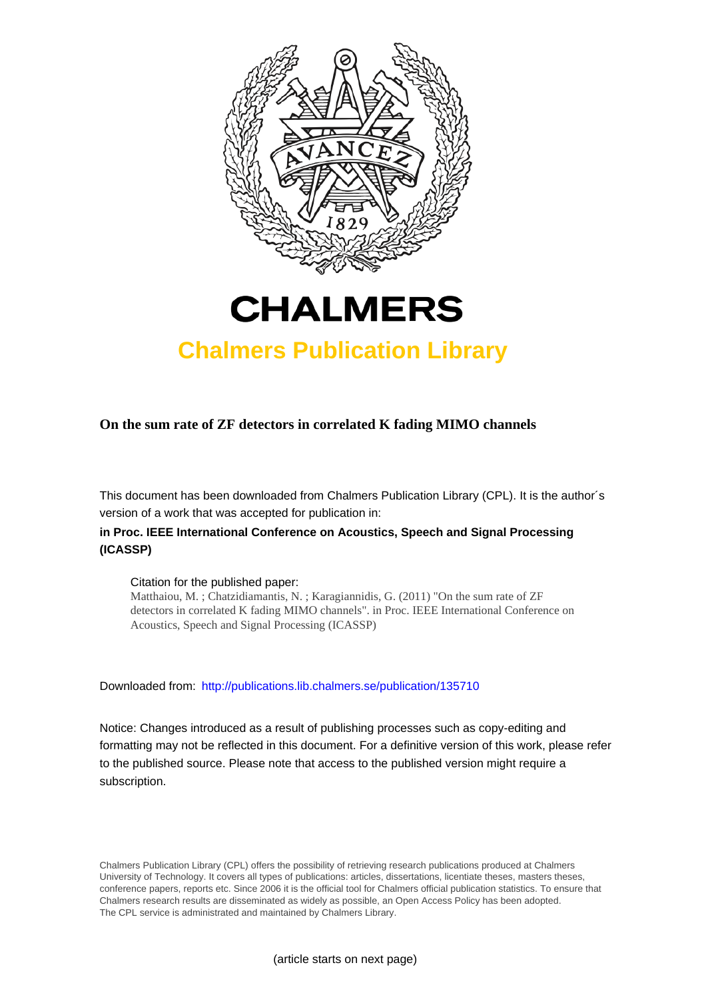



# **Chalmers Publication Library**

# **On the sum rate of ZF detectors in correlated K fading MIMO channels**

This document has been downloaded from Chalmers Publication Library (CPL). It is the author´s version of a work that was accepted for publication in:

# **in Proc. IEEE International Conference on Acoustics, Speech and Signal Processing (ICASSP)**

# Citation for the published paper:

Matthaiou, M. ; Chatzidiamantis, N. ; Karagiannidis, G. (2011) "On the sum rate of ZF detectors in correlated K fading MIMO channels". in Proc. IEEE International Conference on Acoustics, Speech and Signal Processing (ICASSP)

Downloaded from: <http://publications.lib.chalmers.se/publication/135710>

Notice: Changes introduced as a result of publishing processes such as copy-editing and formatting may not be reflected in this document. For a definitive version of this work, please refer to the published source. Please note that access to the published version might require a subscription.

Chalmers Publication Library (CPL) offers the possibility of retrieving research publications produced at Chalmers University of Technology. It covers all types of publications: articles, dissertations, licentiate theses, masters theses, conference papers, reports etc. Since 2006 it is the official tool for Chalmers official publication statistics. To ensure that Chalmers research results are disseminated as widely as possible, an Open Access Policy has been adopted. The CPL service is administrated and maintained by Chalmers Library.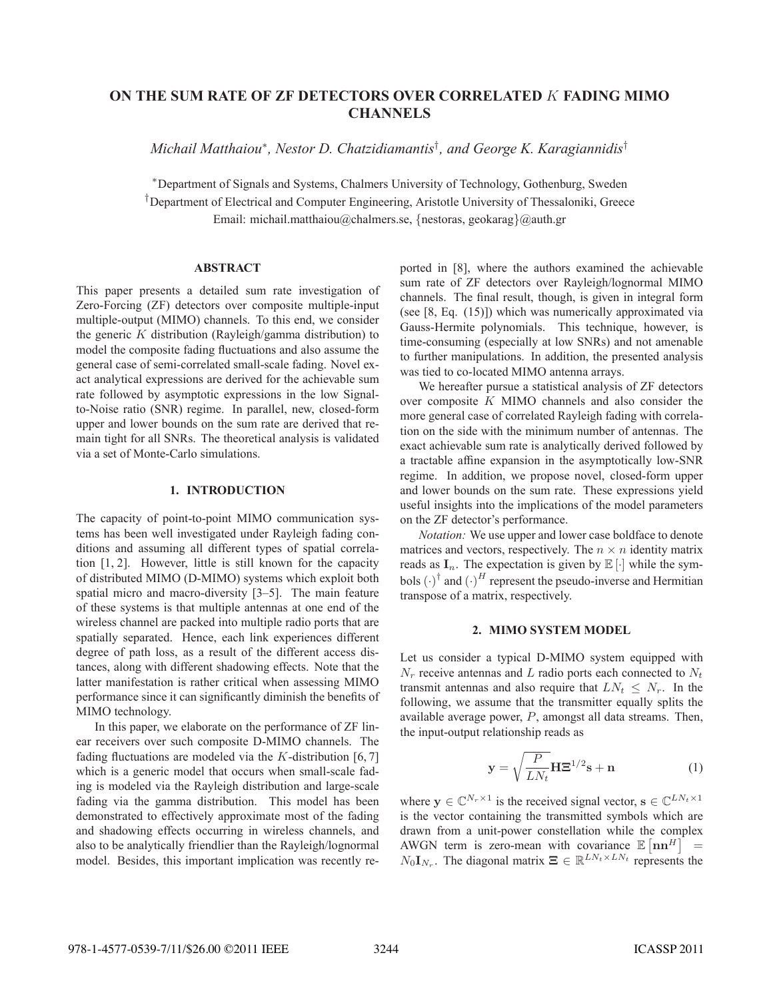# **ON THE SUM RATE OF ZF DETECTORS OVER CORRELATED** K **FADING MIMO CHANNELS**

*Michail Matthaiou*∗*, Nestor D. Chatzidiamantis*† *, and George K. Karagiannidis*†

∗Department of Signals and Systems, Chalmers University of Technology, Gothenburg, Sweden

† Department of Electrical and Computer Engineering, Aristotle University of Thessaloniki, Greece

Email: michail.matthaiou@chalmers.se, {nestoras, geokarag}@auth.gr

# **ABSTRACT**

This paper presents a detailed sum rate investigation of Zero-Forcing (ZF) detectors over composite multiple-input multiple-output (MIMO) channels. To this end, we consider the generic  $K$  distribution (Rayleigh/gamma distribution) to model the composite fading fluctuations and also assume the general case of semi-correlated small-scale fading. Novel exact analytical expressions are derived for the achievable sum rate followed by asymptotic expressions in the low Signalto-Noise ratio (SNR) regime. In parallel, new, closed-form upper and lower bounds on the sum rate are derived that remain tight for all SNRs. The theoretical analysis is validated via a set of Monte-Carlo simulations.

## **1. INTRODUCTION**

The capacity of point-to-point MIMO communication systems has been well investigated under Rayleigh fading conditions and assuming all different types of spatial correlation [1, 2]. However, little is still known for the capacity of distributed MIMO (D-MIMO) systems which exploit both spatial micro and macro-diversity [3–5]. The main feature of these systems is that multiple antennas at one end of the wireless channel are packed into multiple radio ports that are spatially separated. Hence, each link experiences different degree of path loss, as a result of the different access distances, along with different shadowing effects. Note that the latter manifestation is rather critical when assessing MIMO performance since it can significantly diminish the benefits of MIMO technology.

In this paper, we elaborate on the performance of ZF linear receivers over such composite D-MIMO channels. The fading fluctuations are modeled via the  $K$ -distribution [6,7] which is a generic model that occurs when small-scale fading is modeled via the Rayleigh distribution and large-scale fading via the gamma distribution. This model has been demonstrated to effectively approximate most of the fading and shadowing effects occurring in wireless channels, and also to be analytically friendlier than the Rayleigh/lognormal model. Besides, this important implication was recently reported in [8], where the authors examined the achievable sum rate of ZF detectors over Rayleigh/lognormal MIMO channels. The final result, though, is given in integral form (see [8, Eq. (15)]) which was numerically approximated via Gauss-Hermite polynomials. This technique, however, is time-consuming (especially at low SNRs) and not amenable to further manipulations. In addition, the presented analysis was tied to co-located MIMO antenna arrays.

We hereafter pursue a statistical analysis of ZF detectors over composite K MIMO channels and also consider the more general case of correlated Rayleigh fading with correlation on the side with the minimum number of antennas. The exact achievable sum rate is analytically derived followed by a tractable affine expansion in the asymptotically low-SNR regime. In addition, we propose novel, closed-form upper and lower bounds on the sum rate. These expressions yield useful insights into the implications of the model parameters on the ZF detector's performance.

*Notation:* We use upper and lower case boldface to denote matrices and vectors, respectively. The  $n \times n$  identity matrix reads as  $I_n$ . The expectation is given by  $\mathbb{E}[\cdot]$  while the symbols  $(\cdot)^{\dagger}$  and  $(\cdot)^{H}$  represent the pseudo-inverse and Hermitian transpose of a matrix, respectively.

## **2. MIMO SYSTEM MODEL**

Let us consider a typical D-MIMO system equipped with  $N_r$  receive antennas and L radio ports each connected to  $N_t$ transmit antennas and also require that  $LN_t \leq N_r$ . In the following, we assume that the transmitter equally splits the available average power, P, amongst all data streams. Then, the input-output relationship reads as

$$
\mathbf{y} = \sqrt{\frac{P}{LN_t}} \mathbf{H} \mathbf{\Xi}^{1/2} \mathbf{s} + \mathbf{n}
$$
 (1)

where  $y \in \mathbb{C}^{N_r \times 1}$  is the received signal vector,  $\mathbf{s} \in \mathbb{C}^{LN_t \times 1}$ is the vector containing the transmitted symbols which are drawn from a unit-power constellation while the complex AWGN term is zero-mean with covariance  $\mathbb{E} [\mathbf{n} \mathbf{n}^H] =$  $N_0I_{N_r}$ . The diagonal matrix  $\boldsymbol{\Xi} \in \mathbb{R}^{LN_t \times LN_t}$  represents the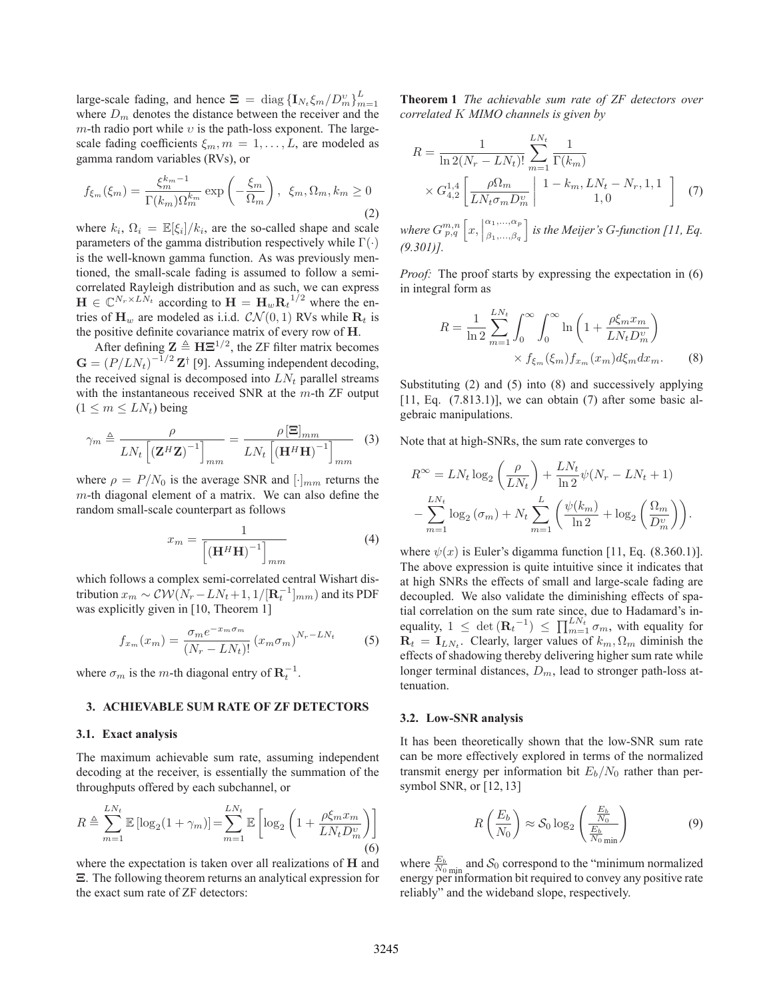large-scale fading, and hence  $\boldsymbol{\Xi} = \text{diag} \left\{ \mathbf{I}_{N_t} \xi_m / D_m^v \right\}_{m=1}^L$ where  $D_m$  denotes the distance between the receiver and the m-th radio port while  $v$  is the path-loss exponent. The largescale fading coefficients  $\xi_m$ ,  $m = 1, \dots, L$ , are modeled as gamma random variables (RVs), or

$$
f_{\xi_m}(\xi_m) = \frac{\xi_m^{k_m - 1}}{\Gamma(k_m)\Omega_m^{k_m}} \exp\left(-\frac{\xi_m}{\Omega_m}\right), \ \xi_m, \Omega_m, k_m \ge 0
$$
\n(2)

where  $k_i$ ,  $\Omega_i = \mathbb{E}[\xi_i]/k_i$ , are the so-called shape and scale parameters of the gamma distribution respectively while  $\Gamma(\cdot)$ is the well-known gamma function. As was previously mentioned, the small-scale fading is assumed to follow a semicorrelated Rayleigh distribution and as such, we can express  $\mathbf{H} \in \mathbb{C}^{N_r \times LN_t}$  according to  $\mathbf{H} = \mathbf{H}_w \mathbf{R}_t^{1/2}$  where the entries of  $\mathbf{H}_w$  are modeled as i.i.d.  $\mathcal{CN}(0, 1)$  RVs while  $\mathbf{R}_t$  is the positive definite covariance matrix of every row of **H**.

After defining  $\mathbf{Z} \triangleq \mathbf{H}\mathbf{\Xi}^{1/2}$ , the ZF filter matrix becomes  $\mathbf{G} = (P/LN_t)^{-1/2} \mathbf{Z}^{\dagger}$  [9]. Assuming independent decoding, the received signal is decomposed into  $LN<sub>t</sub>$  parallel streams with the instantaneous received SNR at the m-th ZF output  $(1 \leq m \leq LN_t)$  being

$$
\gamma_m \triangleq \frac{\rho}{LN_t \left[ \left( \mathbf{Z}^H \mathbf{Z} \right)^{-1} \right]_{mm}} = \frac{\rho \left[ \mathbf{\Xi} \right]_{mm}}{LN_t \left[ \left( \mathbf{H}^H \mathbf{H} \right)^{-1} \right]_{mm}} \quad (3)
$$

where  $\rho = P/N_0$  is the average SNR and  $[\cdot]_{mm}$  returns the  $m$ -th diagonal element of a matrix. We can also define the random small-scale counterpart as follows

$$
x_m = \frac{1}{\left[ \left( \mathbf{H}^H \mathbf{H} \right)^{-1} \right]_{mm}} \tag{4}
$$

which follows a complex semi-correlated central Wishart distribution  $x_m \sim \mathcal{CW}(N_r - LN_t + 1, 1/[\mathbf{R}_t^{-1}]_{mm})$  and its PDF was explicitly given in [10, Theorem 1]

$$
f_{x_m}(x_m) = \frac{\sigma_m e^{-x_m \sigma_m}}{(N_r - LN_t)!} (x_m \sigma_m)^{N_r - LN_t}
$$
 (5)

where  $\sigma_m$  is the m-th diagonal entry of  $\mathbf{R}_t^{-1}$ .

# **3. ACHIEVABLE SUM RATE OF ZF DETECTORS**

#### **3.1. Exact analysis**

The maximum achievable sum rate, assuming independent decoding at the receiver, is essentially the summation of the throughputs offered by each subchannel, or

$$
R \triangleq \sum_{m=1}^{LN_t} \mathbb{E}\left[\log_2(1+\gamma_m)\right] = \sum_{m=1}^{LN_t} \mathbb{E}\left[\log_2\left(1+\frac{\rho\xi_m x_m}{LN_t D_m^v}\right)\right]
$$
\n(6)

where the expectation is taken over all realizations of **H** and **Ξ**. The following theorem returns an analytical expression for the exact sum rate of ZF detectors:

**Theorem 1** *The achievable sum rate of ZF detectors over correlated* K *MIMO channels is given by*

$$
R = \frac{1}{\ln 2(N_r - LN_t)!} \sum_{m=1}^{LN_t} \frac{1}{\Gamma(k_m)} \times G_{4,2}^{1,4} \left[ \frac{\rho \Omega_m}{LN_t \sigma_m D_m^v} \middle| 1 - k_m, LN_t - N_r, 1, 1 \right] \tag{7}
$$

where  $G^{m,n}_{p,q}\left[x,\right]$  $\alpha_1,\ldots,\alpha_p$  $\begin{bmatrix} \alpha_1, ..., \alpha_p \ \beta_1, ..., \beta_q \end{bmatrix}$  is the Meijer's G-function [11, Eq. *(9.301)].*

*Proof:* The proof starts by expressing the expectation in (6) in integral form as

$$
R = \frac{1}{\ln 2} \sum_{m=1}^{LN_t} \int_0^\infty \int_0^\infty \ln \left( 1 + \frac{\rho \xi_m x_m}{LN_t D_m^v} \right) \times f_{\xi_m}(\xi_m) f_{x_m}(x_m) d\xi_m dx_m.
$$
 (8)

Substituting (2) and (5) into (8) and successively applying  $[11, Eq. (7.813.1)],$  we can obtain (7) after some basic algebraic manipulations.

Note that at high-SNRs, the sum rate converges to

$$
R^{\infty} = LN_t \log_2\left(\frac{\rho}{LN_t}\right) + \frac{LN_t}{\ln 2}\psi(N_r - LN_t + 1)
$$

$$
-\sum_{m=1}^{LN_t} \log_2\left(\sigma_m\right) + N_t \sum_{m=1}^{L} \left(\frac{\psi(k_m)}{\ln 2} + \log_2\left(\frac{\Omega_m}{D_m}\right)\right).
$$

where  $\psi(x)$  is Euler's digamma function [11, Eq. (8.360.1)]. The above expression is quite intuitive since it indicates that at high SNRs the effects of small and large-scale fading are decoupled. We also validate the diminishing effects of spatial correlation on the sum rate since, due to Hadamard's inequality,  $1 \leq \det(\mathbf{R}_t^{-1}) \leq \prod_{m=1}^{LN_t} \sigma_m$ , with equality for  $\mathbf{R}_t = \mathbf{I}_{LN_t}$ . Clearly, larger values of  $k_m, \Omega_m$  diminish the effects of shadowing thereby delivering higher sum rate while longer terminal distances,  $D_m$ , lead to stronger path-loss attenuation.

#### **3.2. Low-SNR analysis**

It has been theoretically shown that the low-SNR sum rate can be more effectively explored in terms of the normalized transmit energy per information bit  $E_b/N_0$  rather than persymbol SNR, or [12, 13]

$$
R\left(\frac{E_b}{N_0}\right) \approx \mathcal{S}_0 \log_2\left(\frac{\frac{E_b}{N_0}}{\frac{E_b}{N_0}}\right) \tag{9}
$$

where  $\frac{E_b}{N_0}$  and  $S_0$  correspond to the "minimum normalized energy per information bit required to convey any positive rate reliably" and the wideband slope, respectively.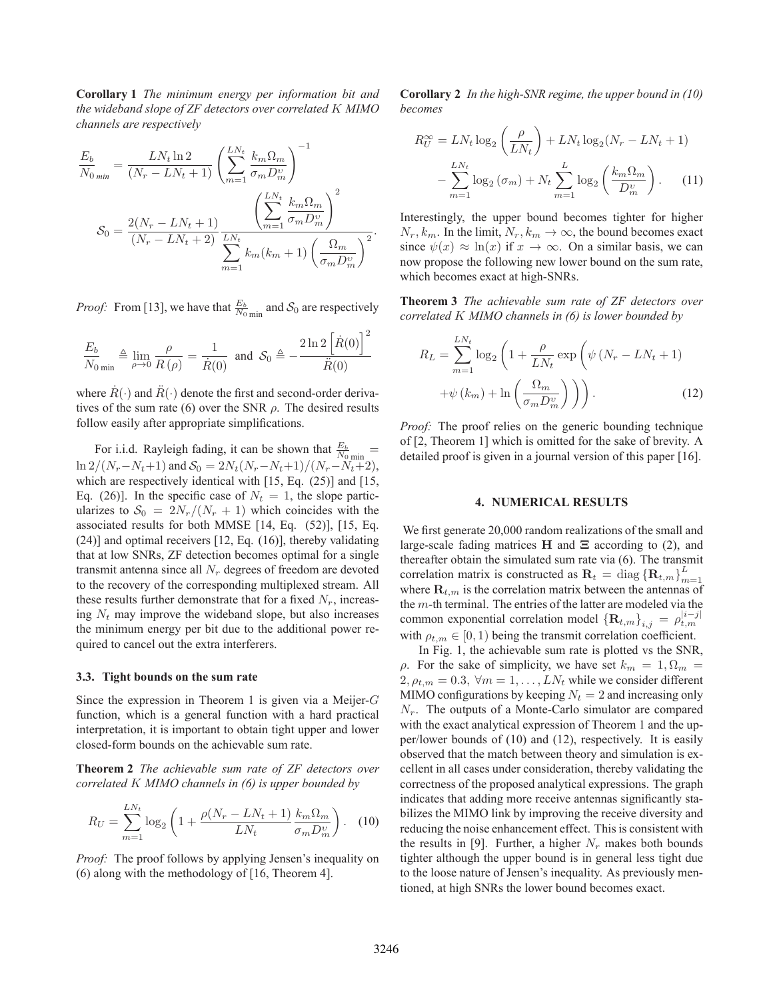**Corollary 1** *The minimum energy per information bit and the wideband slope of ZF detectors over correlated* K *MIMO channels are respectively*

$$
\frac{E_b}{N_0}_{min} = \frac{LN_t \ln 2}{(N_r - LN_t + 1)} \left( \sum_{m=1}^{LN_t} \frac{k_m \Omega_m}{\sigma_m D_m^v} \right)^{-1}
$$

$$
\mathcal{S}_0 = \frac{2(N_r - LN_t + 1)}{(N_r - LN_t + 2)} \frac{\left( \sum_{m=1}^{LN_t} \frac{k_m \Omega_m}{\sigma_m D_m^v} \right)^2}{\sum_{m=1}^{LN_t} k_m (k_m + 1) \left( \frac{\Omega_m}{\sigma_m D_m^v} \right)^2}.
$$

*Proof:* From [13], we have that  $\frac{E_b}{N_0}_{min}$  and  $S_0$  are respectively

$$
\frac{E_b}{N_0}_{\text{min}} \triangleq \lim_{\rho \to 0} \frac{\rho}{R(\rho)} = \frac{1}{\dot{R}(0)} \text{ and } \mathcal{S}_0 \triangleq -\frac{2\ln 2\left[\dot{R}(0)\right]^2}{\ddot{R}(0)}
$$

where  $R(\cdot)$  and  $R(\cdot)$  denote the first and second-order derivatives of the sum rate (6) over the SNR  $\rho$ . The desired results follow easily after appropriate simplifications.

For i.i.d. Rayleigh fading, it can be shown that  $\frac{E_b}{N_0}_{min}$  =  $\ln 2/(N_r - N_t + 1)$  and  $S_0 = 2N_t(N_r - N_t + 1)/(N_r - N_t + 2)$ , which are respectively identical with [15, Eq. (25)] and [15, Eq. (26)]. In the specific case of  $N_t = 1$ , the slope particularizes to  $S_0 = 2N_r/(N_r + 1)$  which coincides with the associated results for both MMSE [14, Eq. (52)], [15, Eq. (24)] and optimal receivers [12, Eq. (16)], thereby validating that at low SNRs, ZF detection becomes optimal for a single transmit antenna since all  $N_r$  degrees of freedom are devoted to the recovery of the corresponding multiplexed stream. All these results further demonstrate that for a fixed  $N_r$ , increasing  $N_t$  may improve the wideband slope, but also increases the minimum energy per bit due to the additional power required to cancel out the extra interferers.

#### **3.3. Tight bounds on the sum rate**

Since the expression in Theorem 1 is given via a Meijer- $G$ function, which is a general function with a hard practical interpretation, it is important to obtain tight upper and lower closed-form bounds on the achievable sum rate.

**Theorem 2** *The achievable sum rate of ZF detectors over correlated* K *MIMO channels in (6) is upper bounded by*

$$
R_U = \sum_{m=1}^{LN_t} \log_2 \left( 1 + \frac{\rho (N_r - LN_t + 1)}{LN_t} \frac{k_m \Omega_m}{\sigma_m D_m^v} \right). \tag{10}
$$

*Proof:* The proof follows by applying Jensen's inequality on (6) along with the methodology of [16, Theorem 4].

**Corollary 2** *In the high-SNR regime, the upper bound in (10) becomes*

$$
R_U^{\infty} = LN_t \log_2\left(\frac{\rho}{LN_t}\right) + LN_t \log_2(N_r - LN_t + 1)
$$

$$
- \sum_{m=1}^{LN_t} \log_2\left(\sigma_m\right) + N_t \sum_{m=1}^{L} \log_2\left(\frac{k_m \Omega_m}{D_m^v}\right). \tag{11}
$$

Interestingly, the upper bound becomes tighter for higher  $N_r, k_m$ . In the limit,  $N_r, k_m \rightarrow \infty$ , the bound becomes exact since  $\psi(x) \approx \ln(x)$  if  $x \to \infty$ . On a similar basis, we can now propose the following new lower bound on the sum rate, which becomes exact at high-SNRs.

**Theorem 3** *The achievable sum rate of ZF detectors over correlated* K *MIMO channels in (6) is lower bounded by*

$$
R_L = \sum_{m=1}^{LN_t} \log_2 \left( 1 + \frac{\rho}{LN_t} \exp\left(\psi \left(N_r - LN_t + 1\right) + \psi \left(k_m\right) + \ln\left(\frac{\Omega_m}{\sigma_m D_m^{\upsilon}}\right)\right) \right). \tag{12}
$$

*Proof:* The proof relies on the generic bounding technique of [2, Theorem 1] which is omitted for the sake of brevity. A detailed proof is given in a journal version of this paper [16].

# **4. NUMERICAL RESULTS**

We first generate 20,000 random realizations of the small and large-scale fading matrices **H** and **Ξ** according to (2), and thereafter obtain the simulated sum rate via (6). The transmit correlation matrix is constructed as  $\mathbf{R}_t = \text{diag} \left\{ \mathbf{R}_{t,m} \right\}_{m}^{L}$  $m=1$ where  $\mathbf{R}_{t,m}$  is the correlation matrix between the antennas of the  $m$ -th terminal. The entries of the latter are modeled via the common exponential correlation model  $\{\mathbf{R}_{t,m}\}_{i,j} = \rho_{t,m}^{|i-j|}$ with  $\rho_{t,m} \in [0,1)$  being the transmit correlation coefficient.

In Fig. 1, the achievable sum rate is plotted vs the SNR, ρ. For the sake of simplicity, we have set  $k_m = 1, Ω_m =$  $2, \rho_{t,m} = 0.3, \forall m = 1, \dots, LN_t$  while we consider different MIMO configurations by keeping  $N_t = 2$  and increasing only  $N_r$ . The outputs of a Monte-Carlo simulator are compared with the exact analytical expression of Theorem 1 and the upper/lower bounds of (10) and (12), respectively. It is easily observed that the match between theory and simulation is excellent in all cases under consideration, thereby validating the correctness of the proposed analytical expressions. The graph indicates that adding more receive antennas significantly stabilizes the MIMO link by improving the receive diversity and reducing the noise enhancement effect. This is consistent with the results in [9]. Further, a higher  $N_r$  makes both bounds tighter although the upper bound is in general less tight due to the loose nature of Jensen's inequality. As previously mentioned, at high SNRs the lower bound becomes exact.